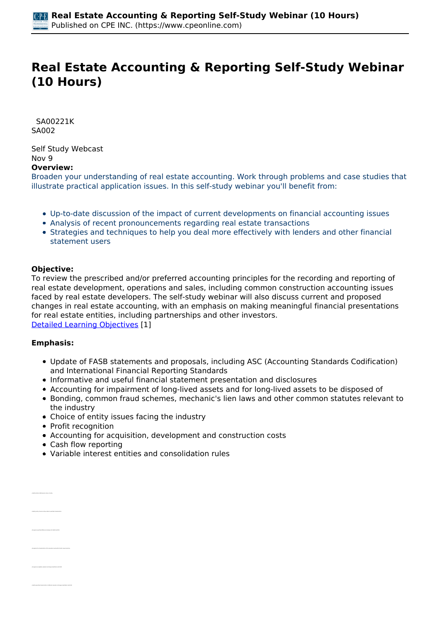# **Real Estate Accounting & Reporting Self-Study Webinar (10 Hours)**

 *SA00221K SA002* 

*Self Study Webcast Nov 9*  **Overview:** 

*Broaden your understanding of real estate accounting. Work through problems and case studies that illustrate practical application issues. In this self-study webinar you'll benefit from:*

- *Up-to-date discussion of the impact of current developments on financial accounting issues*
- *Analysis of recent pronouncements regarding real estate transactions*
- *Strategies and techniques to help you deal more effectively with lenders and other financial statement users*

#### **Objective:**

*To review the prescribed and/or preferred accounting principles for the recording and reporting of real estate development, operations and sales, including common construction accounting issues faced by real estate developers. The self-study webinar will also discuss current and proposed changes in real estate accounting, with an emphasis on making meaningful financial presentations for real estate entities, including partnerships and other investors. [Detailed Learning Objectives](https://www.cpeonline.com/JavaScript:showObjectivesPopup();) [1]*

### **Emphasis:**

- *Update of FASB statements and proposals, including ASC (Accounting Standards Codification) and International Financial Reporting Standards*
- *Informative and useful financial statement presentation and disclosures*
- *Accounting for impairment of long-lived assets and for long-lived assets to be disposed of*
- *Bonding, common fraud schemes, mechanic's lien laws and other common statutes relevant to the industry*
- *Choice of entity issues facing the industry*
- *Profit recognition*
- *Accounting for acquisition, development and construction costs*
- *Cash flow reporting*
- *Variable interest entities and consolidation rules*

| · lawsh-funes affection the choice of entity                                              |  |
|-------------------------------------------------------------------------------------------|--|
| * Marshy and/or choices, as the credite to see other characteristics.                     |  |
| . Recognize specified differences between US CAUP and UTAL                                |  |
| . Recognize the characteristics of the valuation levels within the fair calua hierarchy   |  |
| . Recognize acceptable valuation techniques identified in AEC 820                         |  |
| * Marshy was that characteristics of different saluation techniques intention in ASC 820. |  |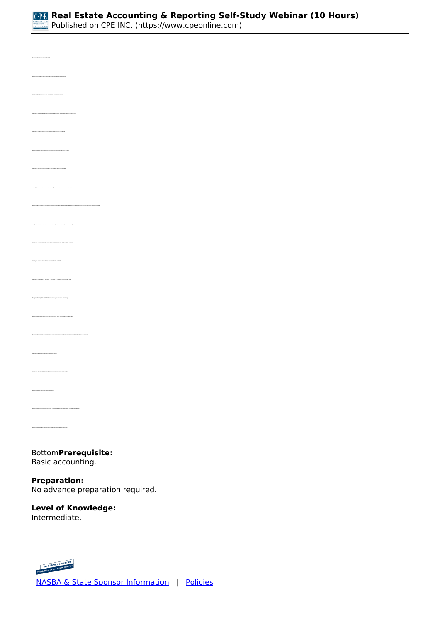

*• Recognize codification topics related directly to accounting for real estate • Identify certain terminology used in real estate construction projects • Identify the accounting treatment of real estate acquisition, development and construction costs • Identify the circumstances in which interest is appropriately capitalized • Recognize the accounting treatment of costs incurred to rent real estate projects • Identify specified issues with the revenue recognition standard as it relates to real estate • Identify the type of commercial lease where the landlord covers all the building expenses • Identify the basis on which the new lease standard is modeled • Identify the components of the lessee's ROU asset at the lease commencement date • Recognize the impact the COVID-19 pandemic may have on lease accounting • Identify indications of impairment in long-lived assets • Recognize the circumstances under which the guidance regarding participating mortgage loans applies* 

*• Recognize the borrower's accounting implications of participating mortgages*

*Bottom***Prerequisite:**  *Basic accounting.*

**Preparation:**  *No advance preparation required.*

# **Level of Knowledge:**

*Intermediate.*